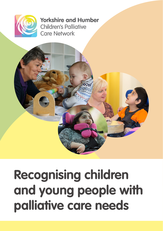

**Yorkshire and Humber Children's Palliative Care Network** 



# **Recognising children and young people with palliative care needs**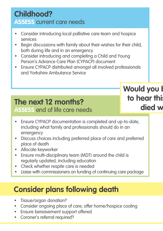#### **Childhood? ASSESS** current care needs

- Consider introducing local palliative care team and hospice services
- Begin discussions with family about their wishes for their child, both during life and in an emergency
- Consider introducing and completing a Child and Young Person's Advance Care Plan (CYPACP) document
- Ensure CYPACP distributed amongst all involved professionals and Yorkshire Ambulance Service

#### **The next 12 months? ASSESS** end of life care needs

## **Would you l** to hear this died w

- Ensure CYPACP documentation is completed and up-to-date, including what family and professionals should do in an emergency
- Discuss choices including preferred place of care and preferred place of death
- Allocate keyworker
- Ensure multi-disciplinary team (MDT) around the child is regularly updated, including education
- Check whether respite care is needed
- Liaise with commissioners on funding of continuing care package

### **Consider plans following death**

- Tissue/organ donation?
- Consider ongoing place of care; offer home/hospice cooling
- Ensure bereavement support offered
- Coroner's referral required?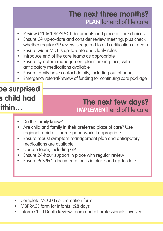#### **The next three months? PLAN** for end of life care

- Review CYPACP/ReSPECT documents and place of care choices
- Ensure GP up-to-date and consider review meeting, plus check whether regular GP review is required to aid certification of death
- Ensure wider MDT is up-to-date and clarify roles
- Introduce end of life care teams as appropriate
- Ensure symptom management plans are in place, with anticipatory medications available
- Ensure family have contact details, including out of hours
- Emergency referral/review of funding for continuing care package

### **we surprised to hear this child had**   $i$ **thin…**

#### **The next few days? IMPLEMENT** end of life care

- Do the family know?
- Are child and family in their preferred place of care? Use regional rapid discharge paperwork if appropriate
- Ensure robust symptom management plan and anticipatory medications are available
- Update team, including GP
- Ensure 24-hour support in place with regular review
- Ensure ReSPECT documentation is in place and up-to-date

- Complete MCCD (+/- cremation form)
- MBRRACE form for infants <28 days
- Inform Child Death Review Team and all professionals involved